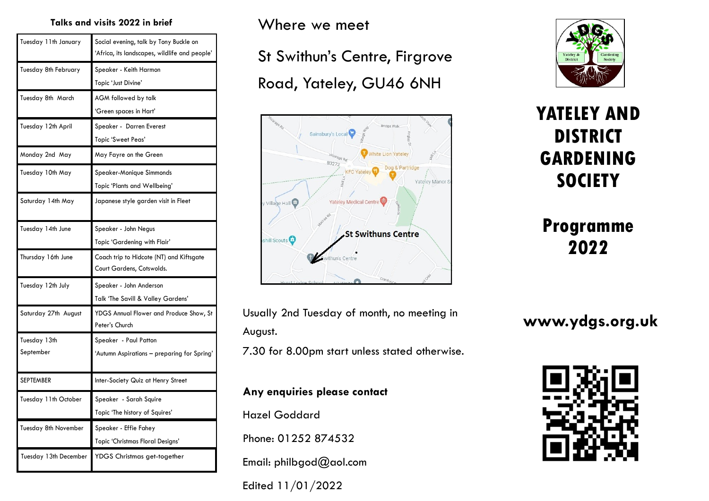### **Talks and visits 2022 in brief**

| Tuesday 11th January | Social evening, talk by Tony Buckle on<br>'Africa, its landscapes, wildlife and people' |
|----------------------|-----------------------------------------------------------------------------------------|
| Tuesday 8th February | Speaker - Keith Harmon                                                                  |
|                      | Topic 'Just Divine'                                                                     |
| Tuesday 8th March    | AGM followed by talk                                                                    |
|                      | 'Green spaces in Hart'                                                                  |
| Tuesday 12th April   | Speaker - Darren Everest                                                                |
|                      | Topic 'Sweet Peas'                                                                      |
| Monday 2nd May       | May Fayre on the Green                                                                  |
| Tuesday 10th May     | Speaker-Monique Simmonds                                                                |
|                      | Topic 'Plants and Wellbeing'                                                            |
| Saturday 14th May    | Japanese style garden visit in Fleet                                                    |
| Tuesday 14th June    | Speaker - John Negus                                                                    |
|                      | Topic 'Gardening with Flair'                                                            |
|                      |                                                                                         |
| Thursday 16th June   | Coach trip to Hidcote (NT) and Kiftsgate<br>Court Gardens, Cotswolds.                   |
| Tuesday 12th July    | Speaker - John Anderson                                                                 |
|                      | Talk 'The Savill & Valley Gardens'                                                      |
| Saturday 27th August | YDGS Annual Flower and Produce Show, St<br>Peter's Church                               |
| Tuesday 13th         | Speaker - Paul Patton                                                                   |
| September            | 'Autumn Aspirations – preparing for Spring'                                             |
| <b>SEPTEMBER</b>     | Inter-Society Quiz at Henry Street                                                      |
| Tuesday 11th October | Speaker - Sarah Squire                                                                  |
|                      | Topic 'The history of Squires'                                                          |
| Tuesday 8th November | Speaker - Effie Fahey                                                                   |
|                      | Topic 'Christmas Floral Designs'                                                        |

Where we meet

St Swithun's Centre, Firgrove Road, Yateley, GU46 6NH



Usually 2nd Tuesday of month, no meeting in August.

7.30 for 8.00pm start unless stated otherwise.

### **Any enquiries please contact**

Hazel Goddard

Phone: 01252 874532

Email: philbgod@aol.com

Edited 11/01/2022



# **YATELEY AND DISTRICT GARDENING SOCIETY**

# **Programme 2022**

## **www.ydgs.org.uk**